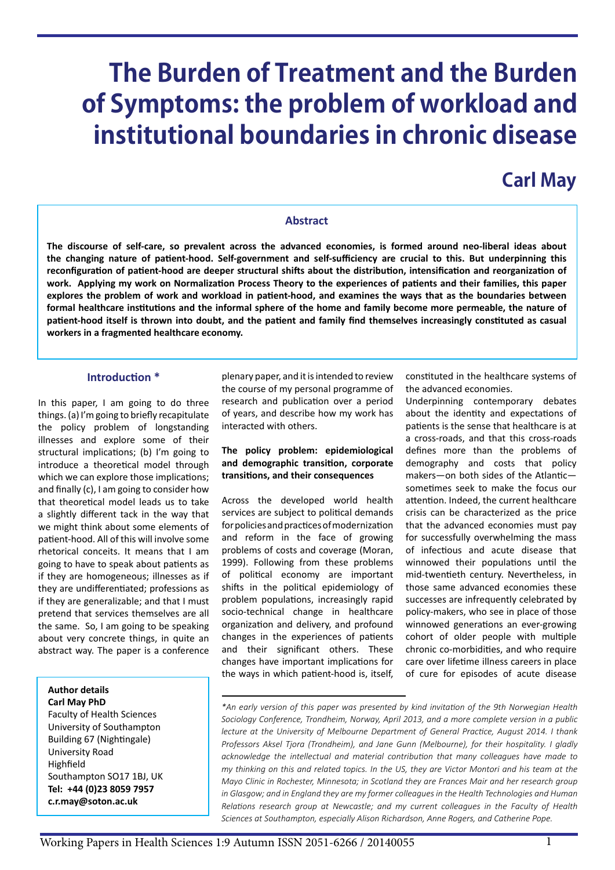# **The Burden of Treatment and the Burden of Symptoms: the problem of workload and institutional boundaries in chronic disease**

# **Carl May**

## **Abstract**

**The discourse of self-care, so prevalent across the advanced economies, is formed around neo-liberal ideas about the changing nature of patient-hood. Self-government and self-sufficiency are crucial to this. But underpinning this reconfiguration of patient-hood are deeper structural shifts about the distribution, intensification and reorganization of work. Applying my work on Normalization Process Theory to the experiences of patients and their families, this paper explores the problem of work and workload in patient-hood, and examines the ways that as the boundaries between formal healthcare institutions and the informal sphere of the home and family become more permeable, the nature of patient-hood itself is thrown into doubt, and the patient and family find themselves increasingly constituted as casual workers in a fragmented healthcare economy.**

#### **Introduction \***

In this paper, I am going to do three things. (a) I'm going to briefly recapitulate the policy problem of longstanding illnesses and explore some of their structural implications; (b) I'm going to introduce a theoretical model through which we can explore those implications; and finally (c), I am going to consider how that theoretical model leads us to take a slightly different tack in the way that we might think about some elements of patient-hood. All of this will involve some rhetorical conceits. It means that I am going to have to speak about patients as if they are homogeneous; illnesses as if they are undifferentiated; professions as if they are generalizable; and that I must pretend that services themselves are all the same. So, I am going to be speaking about very concrete things, in quite an abstract way. The paper is a conference

#### **Author details Carl May PhD**

Faculty of Health Sciences University of Southampton Building 67 (Nightingale) University Road Highfield Southampton SO17 1BJ, UK **Tel: +44 (0)23 8059 7957 [c.r.may@soton.ac.uk](mailto:c.r.may@soton.ac.uk)**

plenary paper, and it is intended to review the course of my personal programme of research and publication over a period of years, and describe how my work has interacted with others.

# **The policy problem: epidemiological and demographic transition, corporate transitions, and their consequences**

Across the developed world health services are subject to political demands for policies and practices of modernization and reform in the face of growing problems of costs and coverage (Moran, 1999). Following from these problems of political economy are important shifts in the political epidemiology of problem populations, increasingly rapid socio-technical change in healthcare organization and delivery, and profound changes in the experiences of patients and their significant others. These changes have important implications for the ways in which patient-hood is, itself,

constituted in the healthcare systems of the advanced economies.

Underpinning contemporary debates about the identity and expectations of patients is the sense that healthcare is at a cross-roads, and that this cross-roads defines more than the problems of demography and costs that policy makers—on both sides of the Atlantic sometimes seek to make the focus our attention. Indeed, the current healthcare crisis can be characterized as the price that the advanced economies must pay for successfully overwhelming the mass of infectious and acute disease that winnowed their populations until the mid-twentieth century. Nevertheless, in those same advanced economies these successes are infrequently celebrated by policy-makers, who see in place of those winnowed generations an ever-growing cohort of older people with multiple chronic co-morbidities, and who require care over lifetime illness careers in place of cure for episodes of acute disease

*<sup>\*</sup>An early version of this paper was presented by kind invitation of the 9th Norwegian Health Sociology Conference, Trondheim, Norway, April 2013, and a more complete version in a public lecture at the University of Melbourne Department of General Practice, August 2014. I thank Professors Aksel Tjora (Trondheim), and Jane Gunn (Melbourne), for their hospitality. I gladly acknowledge the intellectual and material contribution that many colleagues have made to my thinking on this and related topics. In the US, they are Victor Montori and his team at the Mayo Clinic in Rochester, Minnesota; in Scotland they are Frances Mair and her research group*  in Glasgow; and in England they are my former colleagues in the Health Technologies and Human *Relations research group at Newcastle; and my current colleagues in the Faculty of Health Sciences at Southampton, especially Alison Richardson, Anne Rogers, and Catherine Pope.*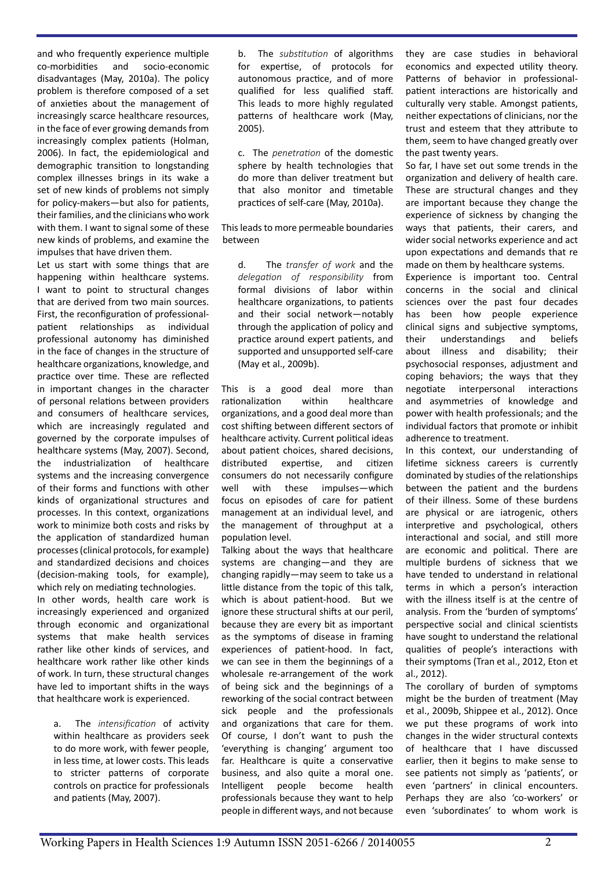and who frequently experience multiple co-morbidities and socio-economic disadvantages (May, 2010a). The policy problem is therefore composed of a set of anxieties about the management of increasingly scarce healthcare resources, in the face of ever growing demands from increasingly complex patients (Holman, 2006). In fact, the epidemiological and demographic transition to longstanding complex illnesses brings in its wake a set of new kinds of problems not simply for policy-makers—but also for patients, their families, and the clinicians who work with them. I want to signal some of these new kinds of problems, and examine the impulses that have driven them.

Let us start with some things that are happening within healthcare systems. I want to point to structural changes that are derived from two main sources. First, the reconfiguration of professionalpatient relationships as individual professional autonomy has diminished in the face of changes in the structure of healthcare organizations, knowledge, and practice over time. These are reflected in important changes in the character of personal relations between providers and consumers of healthcare services, which are increasingly regulated and governed by the corporate impulses of healthcare systems (May, 2007). Second, the industrialization of healthcare systems and the increasing convergence of their forms and functions with other kinds of organizational structures and processes. In this context, organizations work to minimize both costs and risks by the application of standardized human processes (clinical protocols, for example) and standardized decisions and choices (decision-making tools, for example), which rely on mediating technologies.

In other words, health care work is increasingly experienced and organized through economic and organizational systems that make health services rather like other kinds of services, and healthcare work rather like other kinds of work. In turn, these structural changes have led to important shifts in the ways that healthcare work is experienced.

a. The *intensification* of activity within healthcare as providers seek to do more work, with fewer people, in less time, at lower costs. This leads to stricter patterns of corporate controls on practice for professionals and patients (May, 2007).

b. The *substitution* of algorithms for expertise, of protocols for autonomous practice, and of more qualified for less qualified staff. This leads to more highly regulated patterns of healthcare work (May, 2005).

c. The *penetration* of the domestic sphere by health technologies that do more than deliver treatment but that also monitor and timetable practices of self-care (May, 2010a).

This leads to more permeable boundaries between

d. The *transfer of work* and the *delegation of responsibility* from formal divisions of labor within healthcare organizations, to patients and their social network—notably through the application of policy and practice around expert patients, and supported and unsupported self-care (May et al., 2009b).

This is a good deal more than rationalization within healthcare organizations, and a good deal more than cost shifting between different sectors of healthcare activity. Current political ideas about patient choices, shared decisions, distributed expertise, and citizen consumers do not necessarily configure well with these impulses—which focus on episodes of care for patient management at an individual level, and the management of throughput at a population level.

Talking about the ways that healthcare systems are changing—and they are changing rapidly—may seem to take us a little distance from the topic of this talk, which is about patient-hood. But we ignore these structural shifts at our peril, because they are every bit as important as the symptoms of disease in framing experiences of patient-hood. In fact, we can see in them the beginnings of a wholesale re-arrangement of the work of being sick and the beginnings of a reworking of the social contract between sick people and the professionals and organizations that care for them. Of course, I don't want to push the 'everything is changing' argument too far. Healthcare is quite a conservative business, and also quite a moral one. Intelligent people become health professionals because they want to help people in different ways, and not because

they are case studies in behavioral economics and expected utility theory. Patterns of behavior in professionalpatient interactions are historically and culturally very stable. Amongst patients, neither expectations of clinicians, nor the trust and esteem that they attribute to them, seem to have changed greatly over the past twenty years.

So far, I have set out some trends in the organization and delivery of health care. These are structural changes and they are important because they change the experience of sickness by changing the ways that patients, their carers, and wider social networks experience and act upon expectations and demands that re made on them by healthcare systems.

Experience is important too. Central concerns in the social and clinical sciences over the past four decades has been how people experience clinical signs and subjective symptoms, their understandings and beliefs about illness and disability; their psychosocial responses, adjustment and coping behaviors; the ways that they negotiate interpersonal interactions and asymmetries of knowledge and power with health professionals; and the individual factors that promote or inhibit adherence to treatment.

In this context, our understanding of lifetime sickness careers is currently dominated by studies of the relationships between the patient and the burdens of their illness. Some of these burdens are physical or are iatrogenic, others interpretive and psychological, others interactional and social, and still more are economic and political. There are multiple burdens of sickness that we have tended to understand in relational terms in which a person's interaction with the illness itself is at the centre of analysis. From the 'burden of symptoms' perspective social and clinical scientists have sought to understand the relational qualities of people's interactions with their symptoms (Tran et al., 2012, Eton et al., 2012).

The corollary of burden of symptoms might be the burden of treatment (May et al., 2009b, Shippee et al., 2012). Once we put these programs of work into changes in the wider structural contexts of healthcare that I have discussed earlier, then it begins to make sense to see patients not simply as 'patients', or even 'partners' in clinical encounters. Perhaps they are also 'co-workers' or even 'subordinates' to whom work is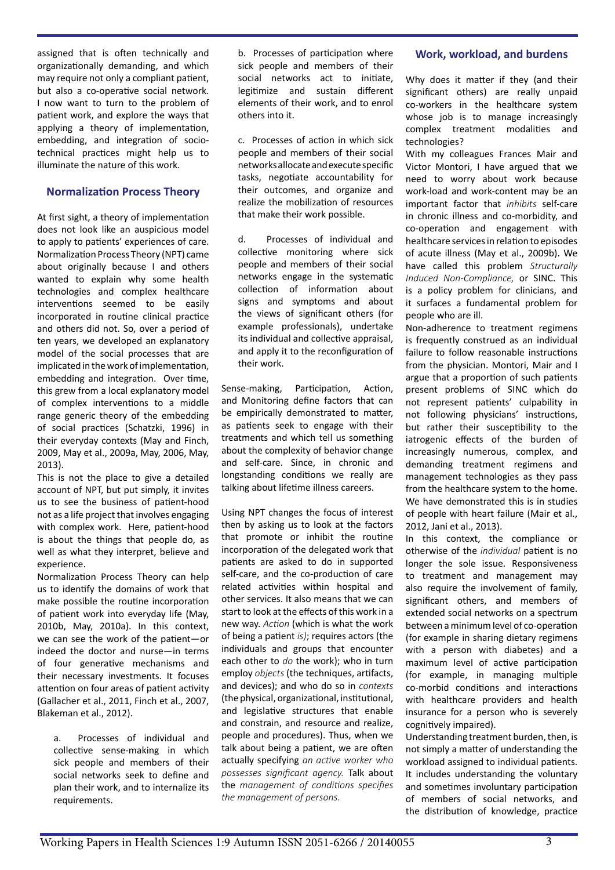assigned that is often technically and organizationally demanding, and which may require not only a compliant patient, but also a co-operative social network. I now want to turn to the problem of patient work, and explore the ways that applying a theory of implementation, embedding, and integration of sociotechnical practices might help us to illuminate the nature of this work.

# **Normalization Process Theory**

At first sight, a theory of implementation does not look like an auspicious model to apply to patients' experiences of care. Normalization Process Theory (NPT) came about originally because I and others wanted to explain why some health technologies and complex healthcare interventions seemed to be easily incorporated in routine clinical practice and others did not. So, over a period of ten years, we developed an explanatory model of the social processes that are implicated in the work of implementation, embedding and integration. Over time, this grew from a local explanatory model of complex interventions to a middle range generic theory of the embedding of social practices (Schatzki, 1996) in their everyday contexts (May and Finch, 2009, May et al., 2009a, May, 2006, May, 2013).

This is not the place to give a detailed account of NPT, but put simply, it invites us to see the business of patient-hood not as a life project that involves engaging with complex work. Here, patient-hood is about the things that people do, as well as what they interpret, believe and experience.

Normalization Process Theory can help us to identify the domains of work that make possible the routine incorporation of patient work into everyday life (May, 2010b, May, 2010a). In this context, we can see the work of the patient—or indeed the doctor and nurse—in terms of four generative mechanisms and their necessary investments. It focuses attention on four areas of patient activity (Gallacher et al., 2011, Finch et al., 2007, Blakeman et al., 2012).

a. Processes of individual and collective sense-making in which sick people and members of their social networks seek to define and plan their work, and to internalize its requirements.

b. Processes of participation where sick people and members of their social networks act to initiate, legitimize and sustain different elements of their work, and to enrol others into it.

c. Processes of action in which sick people and members of their social networks allocate and execute specific tasks, negotiate accountability for their outcomes, and organize and realize the mobilization of resources that make their work possible.

d. Processes of individual and collective monitoring where sick people and members of their social networks engage in the systematic collection of information about signs and symptoms and about the views of significant others (for example professionals), undertake its individual and collective appraisal, and apply it to the reconfiguration of their work.

Sense-making, Participation, Action, and Monitoring define factors that can be empirically demonstrated to matter, as patients seek to engage with their treatments and which tell us something about the complexity of behavior change and self-care. Since, in chronic and longstanding conditions we really are talking about lifetime illness careers.

Using NPT changes the focus of interest then by asking us to look at the factors that promote or inhibit the routine incorporation of the delegated work that patients are asked to do in supported self-care, and the co-production of care related activities within hospital and other services. It also means that we can start to look at the effects of this work in a new way. *Action* (which is what the work of being a patient *is)*; requires actors (the individuals and groups that encounter each other to *do* the work); who in turn employ *objects* (the techniques, artifacts, and devices); and who do so in *contexts*  (the physical, organizational, institutional, and legislative structures that enable and constrain, and resource and realize, people and procedures). Thus, when we talk about being a patient, we are often actually specifying *an active worker who possesses significant agency.* Talk about the *management of conditions specifies the management of persons.*

## **Work, workload, and burdens**

Why does it matter if they (and their significant others) are really unpaid co-workers in the healthcare system whose job is to manage increasingly complex treatment modalities and technologies?

With my colleagues Frances Mair and Victor Montori, I have argued that we need to worry about work because work-load and work-content may be an important factor that *inhibits* self-care in chronic illness and co-morbidity, and co-operation and engagement with healthcare services in relation to episodes of acute illness (May et al., 2009b). We have called this problem *Structurally Induced Non-Compliance,* or SINC. This is a policy problem for clinicians, and it surfaces a fundamental problem for people who are ill.

Non-adherence to treatment regimens is frequently construed as an individual failure to follow reasonable instructions from the physician. Montori, Mair and I argue that a proportion of such patients present problems of SINC which do not represent patients' culpability in not following physicians' instructions, but rather their susceptibility to the iatrogenic effects of the burden of increasingly numerous, complex, and demanding treatment regimens and management technologies as they pass from the healthcare system to the home. We have demonstrated this is in studies of people with heart failure (Mair et al., 2012, Jani et al., 2013).

In this context, the compliance or otherwise of the *individual* patient is no longer the sole issue. Responsiveness to treatment and management may also require the involvement of family, significant others, and members of extended social networks on a spectrum between a minimum level of co-operation (for example in sharing dietary regimens with a person with diabetes) and a maximum level of active participation (for example, in managing multiple co-morbid conditions and interactions with healthcare providers and health insurance for a person who is severely cognitively impaired).

Understanding treatment burden, then, is not simply a matter of understanding the workload assigned to individual patients. It includes understanding the voluntary and sometimes involuntary participation of members of social networks, and the distribution of knowledge, practice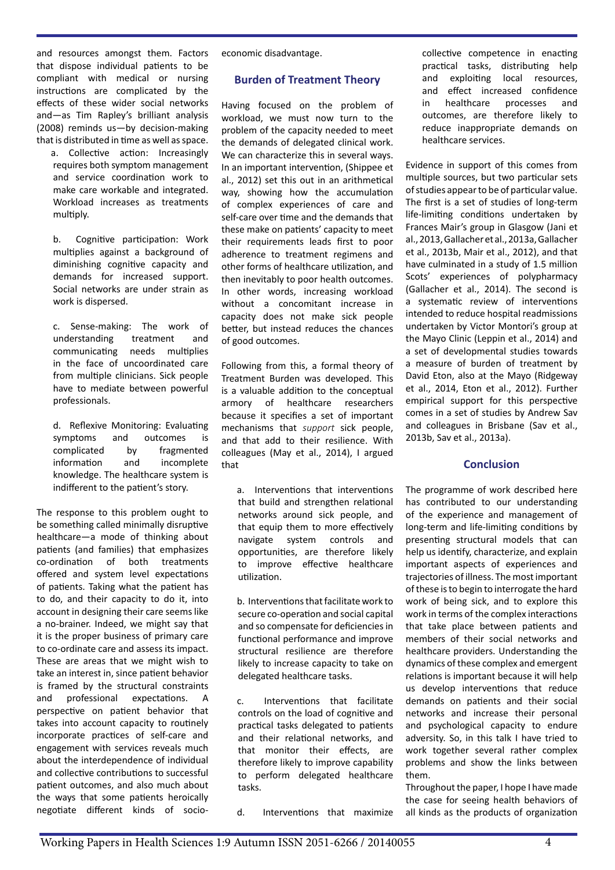and resources amongst them. Factors that dispose individual patients to be compliant with medical or nursing instructions are complicated by the effects of these wider social networks and—as Tim Rapley's brilliant analysis (2008) reminds us—by decision-making that is distributed in time as well as space.

a. Collective action: Increasingly requires both symptom management and service coordination work to make care workable and integrated. Workload increases as treatments multiply.

b. Cognitive participation: Work multiplies against a background of diminishing cognitive capacity and demands for increased support. Social networks are under strain as work is dispersed.

c. Sense-making: The work of understanding treatment and communicating needs multiplies in the face of uncoordinated care from multiple clinicians. Sick people have to mediate between powerful professionals.

d. Reflexive Monitoring: Evaluating symptoms and outcomes is complicated by fragmented information and incomplete knowledge. The healthcare system is indifferent to the patient's story.

The response to this problem ought to be something called minimally disruptive healthcare—a mode of thinking about patients (and families) that emphasizes co-ordination of both treatments offered and system level expectations of patients. Taking what the patient has to do, and their capacity to do it, into account in designing their care seems like a no-brainer. Indeed, we might say that it is the proper business of primary care to co-ordinate care and assess its impact. These are areas that we might wish to take an interest in, since patient behavior is framed by the structural constraints and professional expectations. A perspective on patient behavior that takes into account capacity to routinely incorporate practices of self-care and engagement with services reveals much about the interdependence of individual and collective contributions to successful patient outcomes, and also much about the ways that some patients heroically negotiate different kinds of socioeconomic disadvantage.

# **Burden of Treatment Theory**

Having focused on the problem of workload, we must now turn to the problem of the capacity needed to meet the demands of delegated clinical work. We can characterize this in several ways. In an important intervention, (Shippee et al., 2012) set this out in an arithmetical way, showing how the accumulation of complex experiences of care and self-care over time and the demands that these make on patients' capacity to meet their requirements leads first to poor adherence to treatment regimens and other forms of healthcare utilization, and then inevitably to poor health outcomes. In other words, increasing workload without a concomitant increase in capacity does not make sick people better, but instead reduces the chances of good outcomes.

Following from this, a formal theory of Treatment Burden was developed. This is a valuable addition to the conceptual armory of healthcare researchers because it specifies a set of important mechanisms that *support* sick people, and that add to their resilience. With colleagues (May et al., 2014), I argued that

a. Interventions that interventions that build and strengthen relational networks around sick people, and that equip them to more effectively navigate system controls and opportunities, are therefore likely to improve effective healthcare utilization.

b. Interventions that facilitate work to secure co-operation and social capital and so compensate for deficiencies in functional performance and improve structural resilience are therefore likely to increase capacity to take on delegated healthcare tasks.

c. Interventions that facilitate controls on the load of cognitive and practical tasks delegated to patients and their relational networks, and that monitor their effects, are therefore likely to improve capability to perform delegated healthcare tasks.

d. Interventions that maximize

collective competence in enacting practical tasks, distributing help and exploiting local resources, and effect increased confidence in healthcare processes and outcomes, are therefore likely to reduce inappropriate demands on healthcare services.

Evidence in support of this comes from multiple sources, but two particular sets of studies appear to be of particular value. The first is a set of studies of long-term life-limiting conditions undertaken by Frances Mair's group in Glasgow (Jani et al., 2013, Gallacher et al., 2013a, Gallacher et al., 2013b, Mair et al., 2012), and that have culminated in a study of 1.5 million Scots' experiences of polypharmacy (Gallacher et al., 2014). The second is a systematic review of interventions intended to reduce hospital readmissions undertaken by Victor Montori's group at the Mayo Clinic (Leppin et al., 2014) and a set of developmental studies towards a measure of burden of treatment by David Eton, also at the Mayo (Ridgeway et al., 2014, Eton et al., 2012). Further empirical support for this perspective comes in a set of studies by Andrew Sav and colleagues in Brisbane (Sav et al., 2013b, Sav et al., 2013a).

# **Conclusion**

The programme of work described here has contributed to our understanding of the experience and management of long-term and life-limiting conditions by presenting structural models that can help us identify, characterize, and explain important aspects of experiences and trajectories of illness. The most important of these is to begin to interrogate the hard work of being sick, and to explore this work in terms of the complex interactions that take place between patients and members of their social networks and healthcare providers. Understanding the dynamics of these complex and emergent relations is important because it will help us develop interventions that reduce demands on patients and their social networks and increase their personal and psychological capacity to endure adversity. So, in this talk I have tried to work together several rather complex problems and show the links between them.

Throughout the paper, I hope I have made the case for seeing health behaviors of all kinds as the products of organization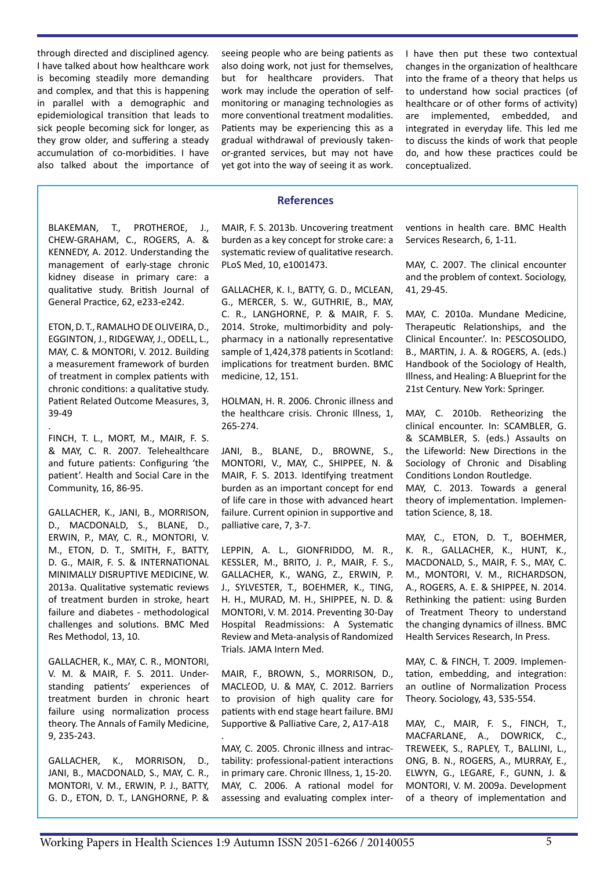through directed and disciplined agency. I have talked about how healthcare work is becoming steadily more demanding and complex, and that this is happening in parallel with a demographic and epidemiological transition that leads to sick people becoming sick for longer, as they grow older, and suffering a steady accumulation of co-morbidities. I have also talked about the importance of seeing people who are being patients as also doing work, not just for themselves. but for healthcare providers. That work may include the operation of selfmonitoring or managing technologies as more conventional treatment modalities. Patients may be experiencing this as a gradual withdrawal of previously takenor-granted services, but may not have yet got into the way of seeing it as work.

I have then put these two contextual changes in the organization of healthcare into the frame of a theory that helps us to understand how social practices (of healthcare or of other forms of activity) are implemented, embedded, and integrated in everyday life. This led me to discuss the kinds of work that people do, and how these practices could be conceptualized.

## **References**

BLAKEMAN, T., PROTHEROE, J., CHEW-GRAHAM, C., ROGERS, A. & KENNEDY, A. 2012. Understanding the management of early-stage chronic kidney disease in primary care: a qualitative study. British Journal of General Practice, 62, e233-e242.

ETON, D. T., RAMALHO DE OLIVEIRA, D., EGGINTON, J., RIDGEWAY, J., ODELL, L., MAY, C. & MONTORI, V. 2012. Building a measurement framework of burden of treatment in complex patients with chronic conditions: a qualitative study. Patient Related Outcome Measures, 3, 39-49

. FINCH, T. L., MORT, M., MAIR, F. S. & MAY, C. R. 2007. Telehealthcare and future patients: Configuring 'the patient'. Health and Social Care in the Community, 16, 86-95.

GALLACHER, K., JANI, B., MORRISON, D., MACDONALD, S., BLANE, D., ERWIN, P., MAY, C. R., MONTORI, V. M., ETON, D. T., SMITH, F., BATTY, D. G., MAIR, F. S. & INTERNATIONAL MINIMALLY DISRUPTIVE MEDICINE, W. 2013a. Qualitative systematic reviews of treatment burden in stroke, heart failure and diabetes - methodological challenges and solutions. BMC Med Res Methodol, 13, 10.

GALLACHER, K., MAY, C. R., MONTORI, V. M. & MAIR, F. S. 2011. Understanding patients' experiences of treatment burden in chronic heart failure using normalization process theory. The Annals of Family Medicine, 9, 235-243.

GALLACHER, K., MORRISON, D., JANI, B., MACDONALD, S., MAY, C. R., MONTORI, V. M., ERWIN, P. J., BATTY, G. D., ETON, D. T., LANGHORNE, P. & MAIR, F. S. 2013b. Uncovering treatment burden as a key concept for stroke care: a systematic review of qualitative research. PLoS Med, 10, e1001473.

GALLACHER, K. I., BATTY, G. D., MCLEAN, G., MERCER, S. W., GUTHRIE, B., MAY, C. R., LANGHORNE, P. & MAIR, F. S. 2014. Stroke, multimorbidity and polypharmacy in a nationally representative sample of 1,424,378 patients in Scotland: implications for treatment burden. BMC medicine, 12, 151.

HOLMAN, H. R. 2006. Chronic illness and the healthcare crisis. Chronic Illness, 1, 265-274.

JANI, B., BLANE, D., BROWNE, S., MONTORI, V., MAY, C., SHIPPEE, N. & MAIR, F. S. 2013. Identifying treatment burden as an important concept for end of life care in those with advanced heart failure. Current opinion in supportive and palliative care, 7, 3-7.

LEPPIN, A. L., GIONFRIDDO, M. R., KESSLER, M., BRITO, J. P., MAIR, F. S., GALLACHER, K., WANG, Z., ERWIN, P. J., SYLVESTER, T., BOEHMER, K., TING, H. H., MURAD, M. H., SHIPPEE, N. D. & MONTORI, V. M. 2014. Preventing 30-Day Hospital Readmissions: A Systematic Review and Meta-analysis of Randomized Trials. JAMA Intern Med.

MAIR, F., BROWN, S., MORRISON, D., MACLEOD, U. & MAY, C. 2012. Barriers to provision of high quality care for patients with end stage heart failure. BMJ Supportive & Palliative Care, 2, A17-A18 .

MAY, C. 2005. Chronic illness and intractability: professional-patient interactions in primary care. Chronic Illness, 1, 15-20. MAY, C. 2006. A rational model for assessing and evaluating complex interventions in health care. BMC Health Services Research, 6, 1-11.

MAY, C. 2007. The clinical encounter and the problem of context. Sociology, 41, 29-45.

MAY, C. 2010a. Mundane Medicine, Therapeutic Relationships, and the Clinical Encounter.'. In: PESCOSOLIDO, B., MARTIN, J. A. & ROGERS, A. (eds.) Handbook of the Sociology of Health, Illness, and Healing: A Blueprint for the 21st Century. New York: Springer.

MAY, C. 2010b. Retheorizing the clinical encounter. In: SCAMBLER, G. & SCAMBLER, S. (eds.) Assaults on the Lifeworld: New Directions in the Sociology of Chronic and Disabling Conditions London Routledge.

MAY, C. 2013. Towards a general theory of implementation. Implementation Science, 8, 18.

MAY, C., ETON, D. T., BOEHMER, K. R., GALLACHER, K., HUNT, K., MACDONALD, S., MAIR, F. S., MAY, C. M., MONTORI, V. M., RICHARDSON, A., ROGERS, A. E. & SHIPPEE, N. 2014. Rethinking the patient: using Burden of Treatment Theory to understand the changing dynamics of illness. BMC Health Services Research, In Press.

MAY, C. & FINCH, T. 2009. Implementation, embedding, and integration: an outline of Normalization Process Theory. Sociology, 43, 535-554.

MAY, C., MAIR, F. S., FINCH, T., MACFARLANE, A., DOWRICK, C., TREWEEK, S., RAPLEY, T., BALLINI, L., ONG, B. N., ROGERS, A., MURRAY, E., ELWYN, G., LEGARE, F., GUNN, J. & MONTORI, V. M. 2009a. Development of a theory of implementation and